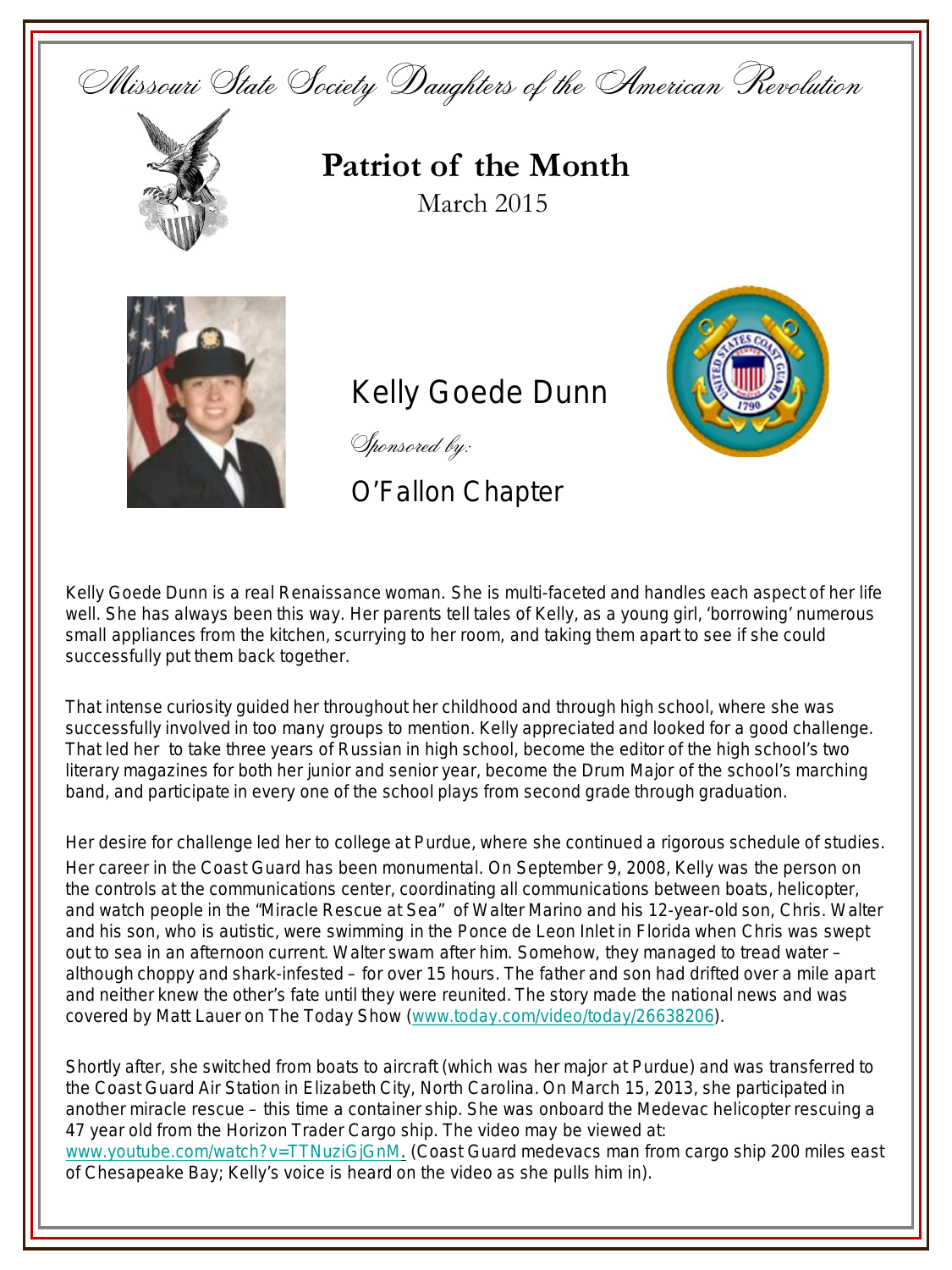



**Patriot of the Month** March 2015



**Kelly Goede Dunn** 

S (hilli) **EMBLE** 

Sponsored by:

## O'Fallon Chapter

Kelly Goede Dunn is a real Renaissance woman. She is multi-faceted and handles each aspect of her life well. She has always been this way. Her parents tell tales of Kelly, as a young girl, 'borrowing' numerous small appliances from the kitchen, scurrying to her room, and taking them apart to see if she could successfully put them back together.

That intense curiosity guided her throughout her childhood and through high school, where she was successfully involved in too many groups to mention. Kelly appreciated and looked for a good challenge. That led her to take three years of Russian in high school, become the editor of the high school's two literary magazines for both her junior and senior year, become the Drum Major of the school's marching band, and participate in every one of the school plays from second grade through graduation.

Her desire for challenge led her to college at Purdue, where she continued a rigorous schedule of studies. Her career in the Coast Guard has been monumental. On September 9, 2008, Kelly was the person on the controls at the communications center, coordinating all communications between boats, helicopter, and watch people in the "Miracle Rescue at Sea" of Walter Marino and his 12-year-old son, Chris. Walter and his son, who is autistic, were swimming in the Ponce de Leon Inlet in Florida when Chris was swept out to sea in an afternoon current. Walter swam after him. Somehow, they managed to tread water – although choppy and shark-infested – for over 15 hours. The father and son had drifted over a mile apart and neither knew the other's fate until they were reunited. The story made the national news and was covered by Matt Lauer on The Today Show ([www.today.com/video/today/26638206](http://www.today.com/video/today/26638206)).

Shortly after, she switched from boats to aircraft (which was her major at Purdue) and was transferred to the Coast Guard Air Station in Elizabeth City, North Carolina. On March 15, 2013, she participated in another miracle rescue – this time a container ship. She was onboard the Medevac helicopter rescuing a 47 year old from the Horizon Trader Cargo ship. The video may be viewed at: [www.youtube.com/watch?v=TTNuziGjGnM](http://www.youtube.com/watch?v=TTNuziGjGnM). (Coast Guard medevacs man from cargo ship 200 miles east of Chesapeake Bay; Kelly's voice is heard on the video as she pulls him in).